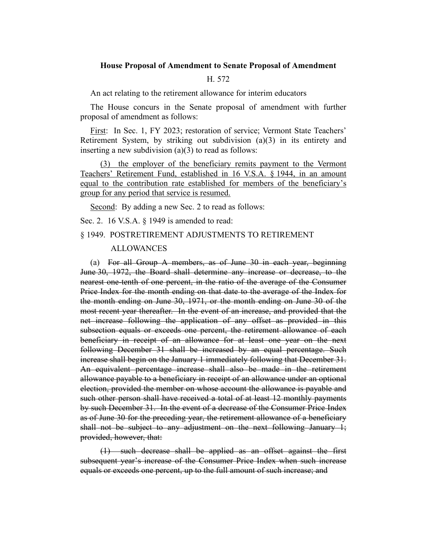## **House Proposal of Amendment to Senate Proposal of Amendment**

## H. 572

An act relating to the retirement allowance for interim educators

The House concurs in the Senate proposal of amendment with further proposal of amendment as follows:

First: In Sec. 1, FY 2023; restoration of service; Vermont State Teachers' Retirement System, by striking out subdivision  $(a)(3)$  in its entirety and inserting a new subdivision  $(a)(3)$  to read as follows:

(3) the employer of the beneficiary remits payment to the Vermont Teachers' Retirement Fund, established in 16 V.S.A. § 1944, in an amount equal to the contribution rate established for members of the beneficiary's group for any period that service is resumed.

Second: By adding a new Sec. 2 to read as follows:

Sec. 2. 16 V.S.A. § 1949 is amended to read:

## § 1949. POSTRETIREMENT ADJUSTMENTS TO RETIREMENT

## ALLOWANCES

(a) For all Group A members, as of June 30 in each year, beginning June 30, 1972, the Board shall determine any increase or decrease, to the nearest one-tenth of one percent, in the ratio of the average of the Consumer Price Index for the month ending on that date to the average of the Index for the month ending on June 30, 1971, or the month ending on June 30 of the most recent year thereafter. In the event of an increase, and provided that the net increase following the application of any offset as provided in this subsection equals or exceeds one percent, the retirement allowance of each beneficiary in receipt of an allowance for at least one year on the next following December 31 shall be increased by an equal percentage. Such increase shall begin on the January 1 immediately following that December 31. An equivalent percentage increase shall also be made in the retirement allowance payable to a beneficiary in receipt of an allowance under an optional election, provided the member on whose account the allowance is payable and such other person shall have received a total of at least 12 monthly payments by such December 31. In the event of a decrease of the Consumer Price Index as of June 30 for the preceding year, the retirement allowance of a beneficiary shall not be subject to any adjustment on the next following January 1; provided, however, that:

(1) such decrease shall be applied as an offset against the first subsequent year's increase of the Consumer Price Index when such increase equals or exceeds one percent, up to the full amount of such increase; and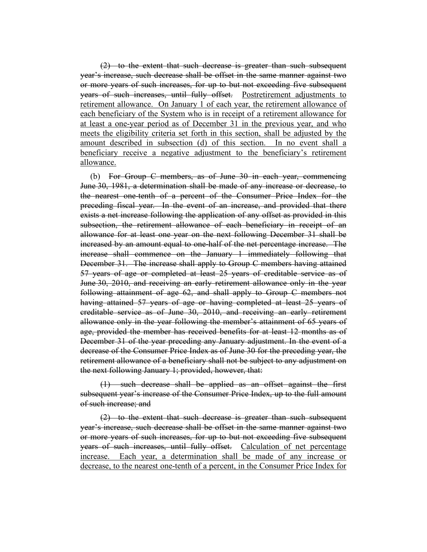(2) to the extent that such decrease is greater than such subsequent year's increase, such decrease shall be offset in the same manner against two or more years of such increases, for up to but not exceeding five subsequent years of such increases, until fully offset. Postretirement adjustments to retirement allowance. On January 1 of each year, the retirement allowance of each beneficiary of the System who is in receipt of a retirement allowance for at least a one-year period as of December 31 in the previous year, and who meets the eligibility criteria set forth in this section, shall be adjusted by the amount described in subsection (d) of this section. In no event shall a beneficiary receive a negative adjustment to the beneficiary's retirement allowance.

(b) For Group C members, as of June 30 in each year, commencing June 30, 1981, a determination shall be made of any increase or decrease, to the nearest one-tenth of a percent of the Consumer Price Index for the preceding fiscal year. In the event of an increase, and provided that there exists a net increase following the application of any offset as provided in this subsection, the retirement allowance of each beneficiary in receipt of an allowance for at least one year on the next following December 31 shall be increased by an amount equal to one-half of the net percentage increase. The increase shall commence on the January 1 immediately following that December 31. The increase shall apply to Group C members having attained 57 years of age or completed at least 25 years of creditable service as of June 30, 2010, and receiving an early retirement allowance only in the year following attainment of age 62, and shall apply to Group C members not having attained 57 years of age or having completed at least 25 years of creditable service as of June 30, 2010, and receiving an early retirement allowance only in the year following the member's attainment of 65 years of age, provided the member has received benefits for at least 12 months as of December 31 of the year preceding any January adjustment. In the event of a decrease of the Consumer Price Index as of June 30 for the preceding year, the retirement allowance of a beneficiary shall not be subject to any adjustment on the next following January 1; provided, however, that:

(1) such decrease shall be applied as an offset against the first subsequent year's increase of the Consumer Price Index, up to the full amount of such increase; and

(2) to the extent that such decrease is greater than such subsequent year's increase, such decrease shall be offset in the same manner against two or more years of such increases, for up to but not exceeding five subsequent years of such increases, until fully offset. Calculation of net percentage increase. Each year, a determination shall be made of any increase or decrease, to the nearest one-tenth of a percent, in the Consumer Price Index for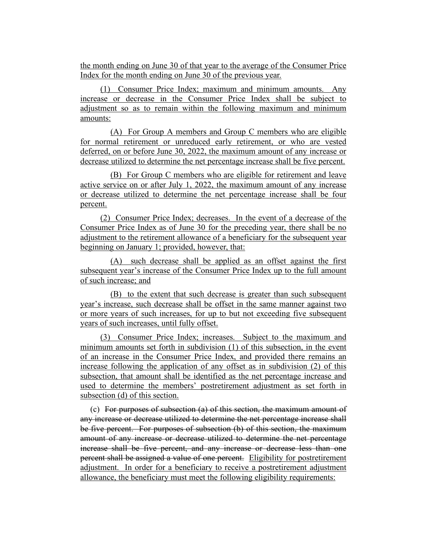the month ending on June 30 of that year to the average of the Consumer Price Index for the month ending on June 30 of the previous year.

(1) Consumer Price Index; maximum and minimum amounts. Any increase or decrease in the Consumer Price Index shall be subject to adjustment so as to remain within the following maximum and minimum amounts:

(A) For Group A members and Group C members who are eligible for normal retirement or unreduced early retirement, or who are vested deferred, on or before June 30, 2022, the maximum amount of any increase or decrease utilized to determine the net percentage increase shall be five percent.

(B) For Group C members who are eligible for retirement and leave active service on or after July 1, 2022, the maximum amount of any increase or decrease utilized to determine the net percentage increase shall be four percent.

(2) Consumer Price Index; decreases. In the event of a decrease of the Consumer Price Index as of June 30 for the preceding year, there shall be no adjustment to the retirement allowance of a beneficiary for the subsequent year beginning on January 1; provided, however, that:

(A) such decrease shall be applied as an offset against the first subsequent year's increase of the Consumer Price Index up to the full amount of such increase; and

(B) to the extent that such decrease is greater than such subsequent year's increase, such decrease shall be offset in the same manner against two or more years of such increases, for up to but not exceeding five subsequent years of such increases, until fully offset.

(3) Consumer Price Index; increases. Subject to the maximum and minimum amounts set forth in subdivision (1) of this subsection, in the event of an increase in the Consumer Price Index, and provided there remains an increase following the application of any offset as in subdivision (2) of this subsection, that amount shall be identified as the net percentage increase and used to determine the members' postretirement adjustment as set forth in subsection (d) of this section.

(c) For purposes of subsection (a) of this section, the maximum amount of any increase or decrease utilized to determine the net percentage increase shall be five percent. For purposes of subsection (b) of this section, the maximum amount of any increase or decrease utilized to determine the net percentage increase shall be five percent, and any increase or decrease less than one percent shall be assigned a value of one percent. Eligibility for postretirement adjustment. In order for a beneficiary to receive a postretirement adjustment allowance, the beneficiary must meet the following eligibility requirements: